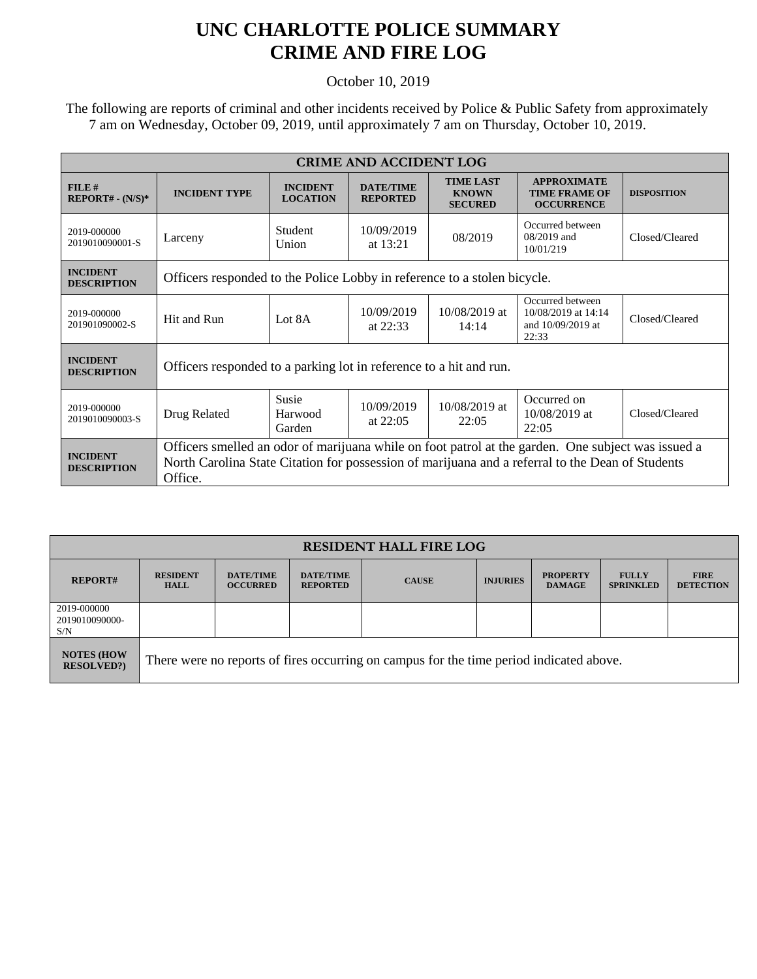## **UNC CHARLOTTE POLICE SUMMARY CRIME AND FIRE LOG**

October 10, 2019

 The following are reports of criminal and other incidents received by Police & Public Safety from approximately 7 am on Wednesday, October 09, 2019, until approximately 7 am on Thursday, October 10, 2019.

| <b>CRIME AND ACCIDENT LOG</b>         |                                                                                                                                                                                                                   |                                    |                                     |                                                    |                                                                       |                    |  |
|---------------------------------------|-------------------------------------------------------------------------------------------------------------------------------------------------------------------------------------------------------------------|------------------------------------|-------------------------------------|----------------------------------------------------|-----------------------------------------------------------------------|--------------------|--|
| FILE#<br>$REPORT# - (N/S)*$           | <b>INCIDENT TYPE</b>                                                                                                                                                                                              | <b>INCIDENT</b><br><b>LOCATION</b> | <b>DATE/TIME</b><br><b>REPORTED</b> | <b>TIME LAST</b><br><b>KNOWN</b><br><b>SECURED</b> | <b>APPROXIMATE</b><br><b>TIME FRAME OF</b><br><b>OCCURRENCE</b>       | <b>DISPOSITION</b> |  |
| 2019-000000<br>2019010090001-S        | Larceny                                                                                                                                                                                                           | Student<br>Union                   | 10/09/2019<br>at 13:21              | 08/2019                                            | Occurred between<br>$08/2019$ and<br>10/01/219                        | Closed/Cleared     |  |
| <b>INCIDENT</b><br><b>DESCRIPTION</b> | Officers responded to the Police Lobby in reference to a stolen bicycle.                                                                                                                                          |                                    |                                     |                                                    |                                                                       |                    |  |
| 2019-000000<br>201901090002-S         | Hit and Run                                                                                                                                                                                                       | Lot 8A                             | 10/09/2019<br>at 22:33              | $10/08/2019$ at<br>14:14                           | Occurred between<br>10/08/2019 at 14:14<br>and 10/09/2019 at<br>22:33 | Closed/Cleared     |  |
| <b>INCIDENT</b><br><b>DESCRIPTION</b> | Officers responded to a parking lot in reference to a hit and run.                                                                                                                                                |                                    |                                     |                                                    |                                                                       |                    |  |
| 2019-000000<br>2019010090003-S        | Drug Related                                                                                                                                                                                                      | Susie<br>Harwood<br>Garden         | 10/09/2019<br>at $22:05$            | 10/08/2019 at<br>22:05                             | Occurred on<br>$10/08/2019$ at<br>22:05                               | Closed/Cleared     |  |
| <b>INCIDENT</b><br><b>DESCRIPTION</b> | Officers smelled an odor of marijuana while on foot patrol at the garden. One subject was issued a<br>North Carolina State Citation for possession of marijuana and a referral to the Dean of Students<br>Office. |                                    |                                     |                                                    |                                                                       |                    |  |

| <b>RESIDENT HALL FIRE LOG</b>           |                                                                                         |                                     |                                     |              |                 |                                  |                                  |                                 |
|-----------------------------------------|-----------------------------------------------------------------------------------------|-------------------------------------|-------------------------------------|--------------|-----------------|----------------------------------|----------------------------------|---------------------------------|
| <b>REPORT#</b>                          | <b>RESIDENT</b><br><b>HALL</b>                                                          | <b>DATE/TIME</b><br><b>OCCURRED</b> | <b>DATE/TIME</b><br><b>REPORTED</b> | <b>CAUSE</b> | <b>INJURIES</b> | <b>PROPERTY</b><br><b>DAMAGE</b> | <b>FULLY</b><br><b>SPRINKLED</b> | <b>FIRE</b><br><b>DETECTION</b> |
| 2019-000000<br>2019010090000-<br>S/N    |                                                                                         |                                     |                                     |              |                 |                                  |                                  |                                 |
| <b>NOTES (HOW)</b><br><b>RESOLVED?)</b> | There were no reports of fires occurring on campus for the time period indicated above. |                                     |                                     |              |                 |                                  |                                  |                                 |